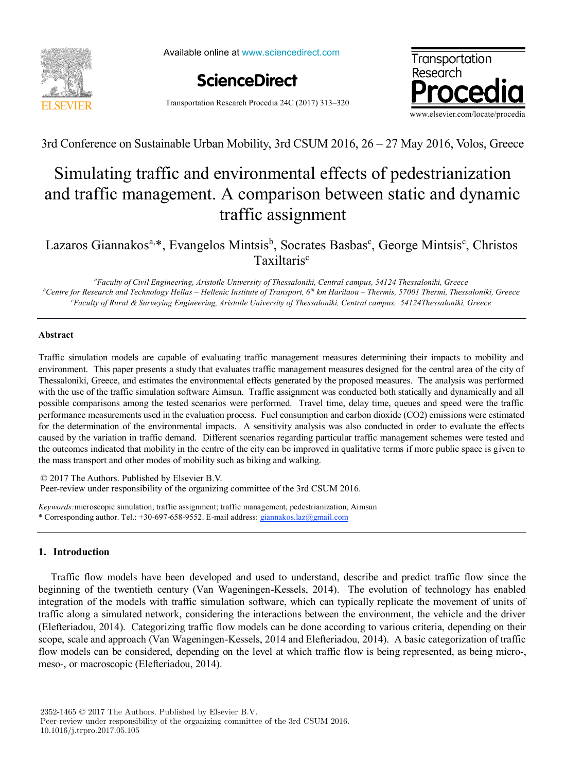

Available online at www.sciencedirect.com



Transportation Research Procedia 24C (2017) 313–320



3rd Conference on Sustainable Urban Mobility, 3rd CSUM 2016, 26 – 27 May 2016, Volos, Greece

# Simulating traffic and environmental effects of pedestrianization Simulating traffic and environmental effects of pedestrianization and traffic management. A comparison between static and dynamic and traffic management. A comparison between static and dynamic traffic assignment traffic assignment

Lazaros Giannakos<sup>a,\*</sup>, Evangelos Mintsis<sup>b</sup>, Socrates Basbas<sup>c</sup>, George Mintsis<sup>c</sup>, Christos Taxiltaris<sup>c</sup>

"Faculty of Civil Engineering, Aristotle University of Thessaloniki, Central campus, 54124 Thessaloniki, Greece  $^b$ Centre for Research and Technology Hellas – Hellenic Institute of Transport, 6th km Harilaou – Thermis, 57001 Thermi, Thessaloniki, Greece Faculty of Rural & Surveying Engineering, Aristotle University of Thessaloniki, Central campus, 54124Thessaloniki, Greece

## **Abstract Abstract**

Traffic simulation models are capable of evaluating traffic management measures determining their impacts to mobility and environment. This paper presents a study that evaluates traffic management measures designed for the central area of the city of Thessaloniki, Greece, and estimates the environmental effects generated by the proposed measures. The analysis was performed with the use of the traffic simulation software Aimsun. Traffic assignment was conducted both statically and dynamically and all possible comparisons among the tested scenarios were performed. Travel time, delay time, queues and speed were the traffic performance measurements used in the evaluation process. Fuel consumption and carbon dioxide (CO2) emissions were estimated for the determination of the environmental impacts. A sensitivity analysis was also conducted in order to evaluate the effects caused by the variation in traffic demand. Different scenarios regarding particular traffic management schemes were tested and the outcomes indicated that mobility in the centre of the city can be improved in qualitative terms if more public space is given to the mass transport and other modes of mobility such as biking and walking. the mass transport and other modes of mobility such as biking and walking.

© 2017 The Authors. Published by Elsevier B.V. Peer-review under responsibility of the organizing committee of the 3rd CSUM 2016.

*Keywords:*microscopic simulation; traffic assignment; traffic management, pedestrianization, Aimsun *Keywords:*microscopic simulation; traffic assignment; traffic management, pedestrianization, Aimsun \* Corresponding author. Tel.: +30-697-658-9552. E-mail address: giannakos.laz@gmail.com \* Corresponding author. Tel.: +30-697-658-9552. E-mail address: giannakos.laz@gmail.com

### **1. Introduction 1. Introduction**

Traffic flow models have been developed and used to understand, describe and predict traffic flow since the Traffic flow models have been developed and used to understand, describe and predict traffic flow since the beginning of the twentieth century (Van Wageningen-Kessels, 2014). The evolution of technology has enabled beginning of the twentieth century (Van Wageningen-Kessels, 2014). The evolution of technology has enabled integration of the models with traffic simulation software, which can typically replicate the movement of units of traffic along a simulated network, considering the interactions between the environment, the vehicle and the driver (Elefteriadou, 2014). Categorizing traffic flow models can be done according to various criteria, depending on their scope, scale and approach (Van Wageningen-Kessels, 2014 and Elefteriadou, 2014). A basic categorization of traffic flow models can be considered, depending on the level at which traffic flow is being represented, as being micro-, meso-, or macroscopic (Elefteriadou, 2014). meso-, or macroscopic (Elefteriadou, 2014).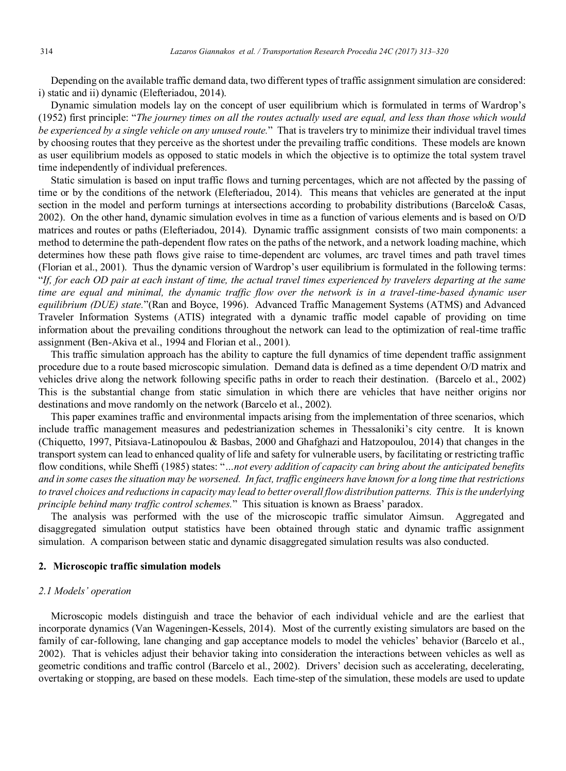Depending on the available traffic demand data, two different types of traffic assignment simulation are considered: i) static and ii) dynamic (Elefteriadou, 2014).

Dynamic simulation models lay on the concept of user equilibrium which is formulated in terms of Wardrop's (1952) first principle: "*The journey times on all the routes actually used are equal, and less than those which would be experienced by a single vehicle on any unused route.*" That is travelers try to minimize their individual travel times by choosing routes that they perceive as the shortest under the prevailing traffic conditions. These models are known as user equilibrium models as opposed to static models in which the objective is to optimize the total system travel time independently of individual preferences.

Static simulation is based on input traffic flows and turning percentages, which are not affected by the passing of time or by the conditions of the network (Elefteriadou, 2014). This means that vehicles are generated at the input section in the model and perform turnings at intersections according to probability distributions (Barcelo& Casas, 2002). On the other hand, dynamic simulation evolves in time as a function of various elements and is based on O/D matrices and routes or paths (Elefteriadou, 2014). Dynamic traffic assignment consists of two main components: a method to determine the path-dependent flow rates on the paths of the network, and a network loading machine, which determines how these path flows give raise to time-dependent arc volumes, arc travel times and path travel times (Florian et al., 2001). Thus the dynamic version of Wardrop's user equilibrium is formulated in the following terms: "*If, for each OD pair at each instant of time, the actual travel times experienced by travelers departing at the same time are equal and minimal, the dynamic traffic flow over the network is in a travel-time-based dynamic user equilibrium (DUE) state.*"(Ran and Boyce, 1996). Advanced Traffic Management Systems (ATMS) and Advanced Traveler Information Systems (ATIS) integrated with a dynamic traffic model capable of providing on time information about the prevailing conditions throughout the network can lead to the optimization of real-time traffic assignment (Ben-Akiva et al., 1994 and Florian et al., 2001).

This traffic simulation approach has the ability to capture the full dynamics of time dependent traffic assignment procedure due to a route based microscopic simulation. Demand data is defined as a time dependent O/D matrix and vehicles drive along the network following specific paths in order to reach their destination. (Barcelo et al., 2002) This is the substantial change from static simulation in which there are vehicles that have neither origins nor destinations and move randomly on the network (Barcelo et al., 2002).

This paper examines traffic and environmental impacts arising from the implementation of three scenarios, which include traffic management measures and pedestrianization schemes in Thessaloniki's city centre. It is known (Chiquetto, 1997, Pitsiava-Latinopoulou & Basbas, 2000 and Ghafghazi and Hatzopoulou, 2014) that changes in the transport system can lead to enhanced quality of life and safety for vulnerable users, by facilitating or restricting traffic flow conditions, while Sheffi (1985) states: "*…not every addition of capacity can bring about the anticipated benefits and in some cases the situation may be worsened. In fact, traffic engineers have known for a long time that restrictions to travel choices and reductions in capacity may lead to better overall flow distribution patterns. This is the underlying principle behind many traffic control schemes.*" This situation is known as Braess' paradox.

The analysis was performed with the use of the microscopic traffic simulator Aimsun. Aggregated and disaggregated simulation output statistics have been obtained through static and dynamic traffic assignment simulation. A comparison between static and dynamic disaggregated simulation results was also conducted.

#### **2. Microscopic traffic simulation models**

#### *2.1 Models' operation*

Microscopic models distinguish and trace the behavior of each individual vehicle and are the earliest that incorporate dynamics (Van Wageningen-Kessels, 2014). Most of the currently existing simulators are based on the family of car-following, lane changing and gap acceptance models to model the vehicles' behavior (Barcelo et al., 2002). That is vehicles adjust their behavior taking into consideration the interactions between vehicles as well as geometric conditions and traffic control (Barcelo et al., 2002). Drivers' decision such as accelerating, decelerating, overtaking or stopping, are based on these models. Each time-step of the simulation, these models are used to update